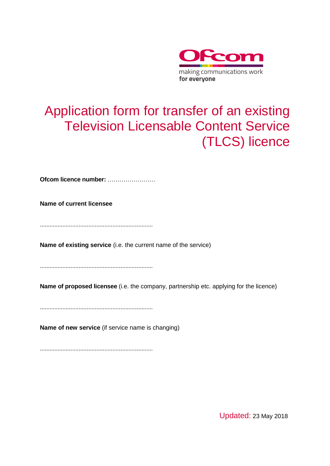

# Application form for transfer of an existing Television Licensable Content Service (TLCS) licence

**Ofcom licence number:** ……………………

**Name of current licensee**

......................................................................

**Name of existing service** (i.e. the current name of the service)

......................................................................

**Name of proposed licensee** (i.e. the company, partnership etc. applying for the licence)

......................................................................

**Name of new service** (if service name is changing)

......................................................................

Updated: 23 May 2018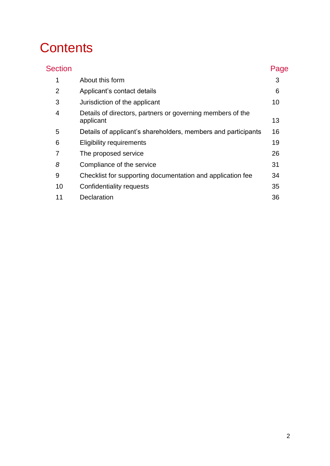# **Contents**

| <b>Section</b> |                                                                         | Page |
|----------------|-------------------------------------------------------------------------|------|
| 1              | About this form                                                         | 3    |
| 2              | Applicant's contact details                                             | 6    |
| 3              | Jurisdiction of the applicant                                           | 10   |
| 4              | Details of directors, partners or governing members of the<br>applicant | 13   |
| 5              | Details of applicant's shareholders, members and participants           | 16   |
| 6              | <b>Eligibility requirements</b>                                         | 19   |
| 7              | The proposed service                                                    | 26   |
| 8              | Compliance of the service                                               | 31   |
| 9              | Checklist for supporting documentation and application fee              | 34   |
| 10             | Confidentiality requests                                                | 35   |
| 11             | Declaration                                                             | 36   |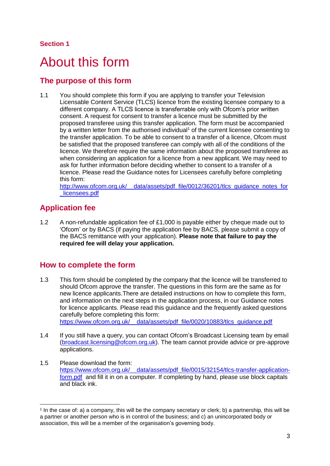## <span id="page-2-0"></span>About this form

## **The purpose of this form**

1.1 You should complete this form if you are applying to transfer your Television Licensable Content Service (TLCS) licence from the existing licensee company to a different company. A TLCS licence is transferrable only with Ofcom's prior written consent. A request for consent to transfer a licence must be submitted by the proposed transferee using this transfer application. The form must be accompanied by a written letter from the authorised individual<sup>1</sup> of the current licensee consenting to the transfer application. To be able to consent to a transfer of a licence, Ofcom must be satisfied that the proposed transferee can comply with all of the conditions of the licence. We therefore require the same information about the proposed transferee as when considering an application for a licence from a new applicant. We may need to ask for further information before deciding whether to consent to a transfer of a licence. Please read the Guidance notes for Licensees carefully before completing this form:

http://www.ofcom.org.uk/ data/assets/pdf file/0012/36201/tlcs\_guidance\_notes\_for [\\_licensees.pdf](http://www.ofcom.org.uk/__data/assets/pdf_file/0012/36201/tlcs_guidance_notes_for_licensees.pdf)

## **Application fee**

1.2 A non-refundable application fee of £1,000 is payable either by cheque made out to 'Ofcom' or by BACS (if paying the application fee by BACS, please submit a copy of the BACS remittance with your application). **Please note that failure to pay the required fee will delay your application.**

## **How to complete the form**

- 1.3 This form should be completed by the company that the licence will be transferred to should Ofcom approve the transfer. The questions in this form are the same as for new licence applicants.There are detailed instructions on how to complete this form, and information on the next steps in the application process, in our Guidance notes for licence applicants. Please read this guidance and the frequently asked questions carefully before completing this form: https://www.ofcom.org.uk/ data/assets/pdf\_file/0020/10883/tlcs\_guidance.pdf
- 1.4 If you still have a query, you can contact Ofcom's Broadcast Licensing team by email [\(broadcast.licensing@ofcom.org.uk\)](mailto:tv.licensing@ofcom.org.uk). The team cannot provide advice or pre-approve applications.
- 1.5 Please download the form: [https://www.ofcom.org.uk/\\_\\_data/assets/pdf\\_file/0015/32154/tlcs-transfer-application](https://www.ofcom.org.uk/__data/assets/pdf_file/0015/32154/tlcs-transfer-application-form.pdf)[form.pdf](https://www.ofcom.org.uk/__data/assets/pdf_file/0015/32154/tlcs-transfer-application-form.pdf) and fill it in on a computer. If completing by hand, please use block capitals and black ink.

<sup>-</sup>1 In the case of: a) a company, this will be the company secretary or clerk; b) a partnership, this will be a partner or another person who is in control of the business; and c) an unincorporated body or association, this will be a member of the organisation's governing body.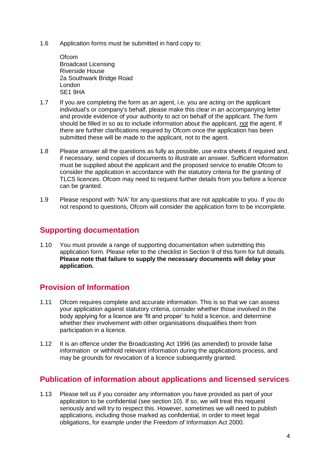1.6 Application forms must be submitted in hard copy to:

**Ofcom** Broadcast Licensing Riverside House 2a Southwark Bridge Road London SE1 9HA

- 1.7 If you are completing the form as an agent, i.e. you are acting on the applicant individual's or company's behalf, please make this clear in an accompanying letter and provide evidence of your authority to act on behalf of the applicant. The form should be filled in so as to include information about the applicant, not the agent. If there are further clarifications required by Ofcom once the application has been submitted these will be made to the applicant, not to the agent.
- 1.8 Please answer all the questions as fully as possible, use extra sheets if required and, if necessary, send copies of documents to illustrate an answer. Sufficient information must be supplied about the applicant and the proposed service to enable Ofcom to consider the application in accordance with the statutory criteria for the granting of TLCS licences. Ofcom may need to request further details from you before a licence can be granted.
- 1.9 Please respond with 'N/A' for any questions that are not applicable to you. If you do not respond to questions, Ofcom will consider the application form to be incomplete.

## **Supporting documentation**

1.10 You must provide a range of supporting documentation when submitting this application form. Please refer to the checklist in Section 9 of this form for full details. **Please note that failure to supply the necessary documents will delay your application.**

## **Provision of Information**

- 1.11 Ofcom requires complete and accurate information. This is so that we can assess your application against statutory criteria, consider whether those involved in the body applying for a licence are 'fit and proper' to hold a licence, and determine whether their involvement with other organisations disqualifies them from participation in a licence.
- 1.12 It is an offence under the Broadcasting Act 1996 (as amended) to provide false information or withhold relevant information during the applications process, and may be grounds for revocation of a licence subsequently granted.

## **Publication of information about applications and licensed services**

1.13 Please tell us if you consider any information you have provided as part of your application to be confidential (see section 10). If so, we will treat this request seriously and will try to respect this. However, sometimes we will need to publish applications, including those marked as confidential, in order to meet legal obligations, for example under the Freedom of Information Act 2000.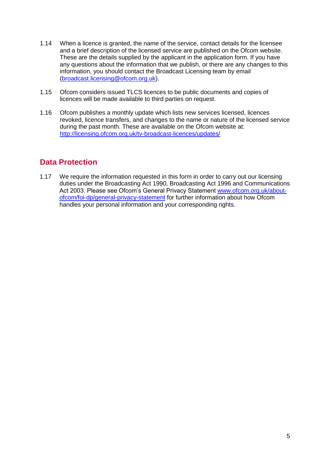- 1.14 When a licence is granted, the name of the service, contact details for the licensee and a brief description of the licensed service are published on the Ofcom website. These are the details supplied by the applicant in the application form. If you have any questions about the information that we publish, or there are any changes to this information, you should contact the Broadcast Licensing team by email [\(broadcast.licensing@ofcom.org.uk\)](mailto:tv.licensing@ofcom.org.uk).
- 1.15 Ofcom considers issued TLCS licences to be public documents and copies of licences will be made available to third parties on request.
- 1.16 Ofcom publishes a monthly update which lists new services licensed, licences revoked, licence transfers, and changes to the name or nature of the licensed service during the past month. These are available on the Ofcom website at: <http://licensing.ofcom.org.uk/tv-broadcast-licences/updates/>

## **Data Protection**

1.17 We require the information requested in this form in order to carry out our licensing duties under the Broadcasting Act 1990, Broadcasting Act 1996 and Communications Act 2003. Please see Ofcom's General Privacy Statement [www.ofcom.org.uk/about](http://www.ofcom.org.uk/about-ofcom/foi-dp/general-privacy-statement)[ofcom/foi-dp/general-privacy-statement](http://www.ofcom.org.uk/about-ofcom/foi-dp/general-privacy-statement) for further information about how Ofcom handles your personal information and your corresponding rights.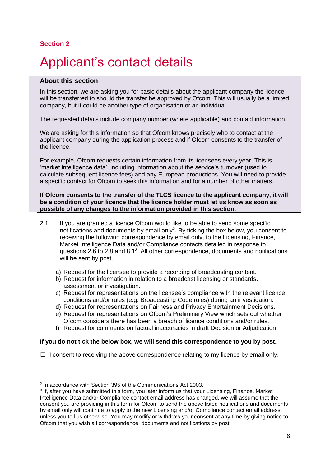# <span id="page-5-0"></span>Applicant's contact details

#### **About this section**

In this section, we are asking you for basic details about the applicant company the licence will be transferred to should the transfer be approved by Ofcom. This will usually be a limited company, but it could be another type of organisation or an individual.

The requested details include company number (where applicable) and contact information.

We are asking for this information so that Ofcom knows precisely who to contact at the applicant company during the application process and if Ofcom consents to the transfer of the licence.

For example, Ofcom requests certain information from its licensees every year. This is 'market intelligence data', including information about the service's turnover (used to calculate subsequent licence fees) and any European productions. You will need to provide a specific contact for Ofcom to seek this information and for a number of other matters.

**If Ofcom consents to the transfer of the TLCS licence to the applicant company, it will be a condition of your licence that the licence holder must let us know as soon as possible of any changes to the information provided in this section.** 

- 2.1 If you are granted a licence Ofcom would like to be able to send some specific notifications and documents by email only<sup>2</sup>. By ticking the box below, you consent to receiving the following correspondence by email only, to the Licensing, Finance, Market Intelligence Data and/or Compliance contacts detailed in response to questions 2.6 to 2.8 and 8.1<sup>3</sup>. All other correspondence, documents and notifications will be sent by post.
	- a) Request for the licensee to provide a recording of broadcasting content.
	- b) Request for information in relation to a broadcast licensing or standards. assessment or investigation.
	- c) Request for representations on the licensee's compliance with the relevant licence conditions and/or rules (e.g. Broadcasting Code rules) during an investigation.
	- d) Request for representations on Fairness and Privacy Entertainment Decisions.
	- e) Request for representations on Ofcom's Preliminary View which sets out whether Ofcom considers there has been a breach of licence conditions and/or rules.
	- f) Request for comments on factual inaccuracies in draft Decision or Adjudication.

#### **If you do not tick the below box, we will send this correspondence to you by post.**

 $\Box$  I consent to receiving the above correspondence relating to my licence by email only.

<sup>-</sup>2 In accordance with Section 395 of the Communications Act 2003.

<sup>3</sup> If, after you have submitted this form, you later inform us that your Licensing, Finance, Market Intelligence Data and/or Compliance contact email address has changed, we will assume that the consent you are providing in this form for Ofcom to send the above listed notifications and documents by email only will continue to apply to the new Licensing and/or Compliance contact email address, unless you tell us otherwise. You may modify or withdraw your consent at any time by giving notice to Ofcom that you wish all correspondence, documents and notifications by post.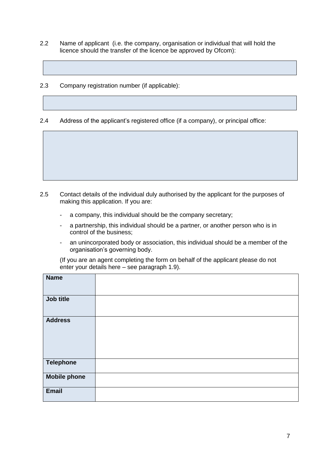- 2.2 Name of applicant (i.e. the company, organisation or individual that will hold the licence should the transfer of the licence be approved by Ofcom):
- 2.3 Company registration number (if applicable):

2.4 Address of the applicant's registered office (if a company), or principal office:

- 2.5 Contact details of the individual duly authorised by the applicant for the purposes of making this application. If you are:
	- a company, this individual should be the company secretary;
	- a partnership, this individual should be a partner, or another person who is in control of the business;
	- an unincorporated body or association, this individual should be a member of the organisation's governing body.

(If you are an agent completing the form on behalf of the applicant please do not enter your details here – see paragraph 1.9).

| <b>Name</b>         |  |
|---------------------|--|
| Job title           |  |
| <b>Address</b>      |  |
| <b>Telephone</b>    |  |
| <b>Mobile phone</b> |  |
| <b>Email</b>        |  |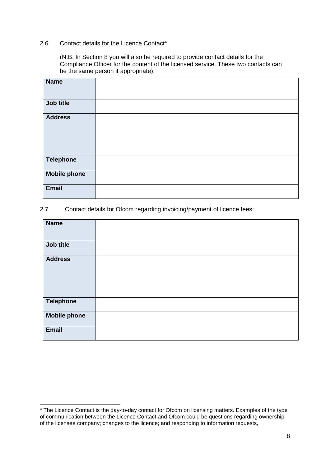#### 2.6 Contact details for the Licence Contact<sup>4</sup>

(N.B. In Section 8 you will also be required to provide contact details for the Compliance Officer for the content of the licensed service. These two contacts can be the same person if appropriate):

| <b>Name</b>         |  |
|---------------------|--|
| Job title           |  |
| <b>Address</b>      |  |
| <b>Telephone</b>    |  |
| <b>Mobile phone</b> |  |
| <b>Email</b>        |  |

#### 2.7 Contact details for Ofcom regarding invoicing/payment of licence fees:

<sup>-</sup><sup>4</sup> The Licence Contact is the day-to-day contact for Ofcom on licensing matters. Examples of the type of communication between the Licence Contact and Ofcom could be questions regarding ownership of the licensee company; changes to the licence; and responding to information requests,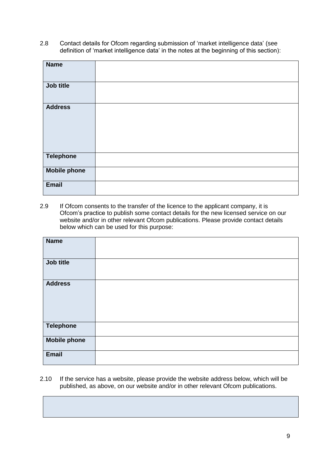2.8 Contact details for Ofcom regarding submission of 'market intelligence data' (see definition of 'market intelligence data' in the notes at the beginning of this section):

| <b>Name</b>         |  |
|---------------------|--|
| Job title           |  |
| <b>Address</b>      |  |
| <b>Telephone</b>    |  |
| <b>Mobile phone</b> |  |
| <b>Email</b>        |  |

2.9 If Ofcom consents to the transfer of the licence to the applicant company, it is Ofcom's practice to publish some contact details for the new licensed service on our website and/or in other relevant Ofcom publications. Please provide contact details below which can be used for this purpose:

| <b>Name</b>         |  |
|---------------------|--|
|                     |  |
|                     |  |
|                     |  |
|                     |  |
| Job title           |  |
|                     |  |
|                     |  |
|                     |  |
|                     |  |
| <b>Address</b>      |  |
|                     |  |
|                     |  |
|                     |  |
|                     |  |
|                     |  |
|                     |  |
|                     |  |
|                     |  |
|                     |  |
| <b>Telephone</b>    |  |
|                     |  |
|                     |  |
| <b>Mobile phone</b> |  |
|                     |  |
|                     |  |
|                     |  |
| <b>Email</b>        |  |
|                     |  |
|                     |  |

2.10 If the service has a website, please provide the website address below, which will be published, as above, on our website and/or in other relevant Ofcom publications.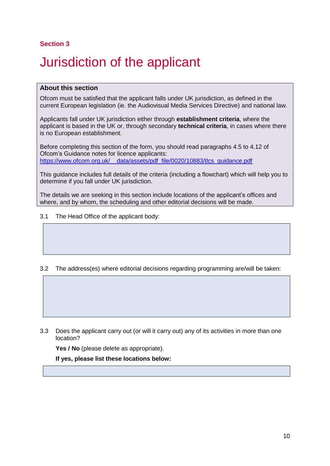# <span id="page-9-0"></span>3 Jurisdiction of the applicant

### **About this section**

Ofcom must be satisfied that the applicant falls under UK jurisdiction, as defined in the current European legislation (ie. the Audiovisual Media Services Directive) and national law.

Applicants fall under UK jurisdiction either through **establishment criteria**, where the applicant is based in the UK or, through secondary **technical criteria**, in cases where there is no European establishment.

Before completing this section of the form, you should read paragraphs 4.5 to 4.12 of Ofcom's Guidance notes for licence applicants: https://www.ofcom.org.uk/ data/assets/pdf\_file/0020/10883/tlcs\_guidance.pdf

This guidance includes full details of the criteria (including a flowchart) which will help you to determine if you fall under UK jurisdiction.

The details we are seeking in this section include locations of the applicant's offices and where, and by whom, the scheduling and other editorial decisions will be made.

3.1 The Head Office of the applicant body:

### 3.2 The address(es) where editorial decisions regarding programming are/will be taken:

3.3 Does the applicant carry out (or will it carry out) any of its activities in more than one location?

Yes / No (please delete as appropriate).

**If yes, please list these locations below:**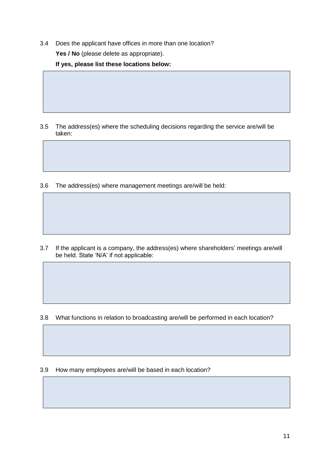3.4 Does the applicant have offices in more than one location?

Yes / No (please delete as appropriate).

**If yes, please list these locations below:**

- 3.5 The address(es) where the scheduling decisions regarding the service are/will be taken:
- 3.6 The address(es) where management meetings are/will be held:

3.7 If the applicant is a company, the address(es) where shareholders' meetings are/will be held. State 'N/A' if not applicable:

3.8 What functions in relation to broadcasting are/will be performed in each location?

3.9 How many employees are/will be based in each location?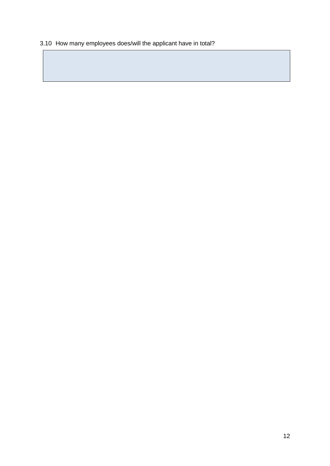## 3.10 How many employees does/will the applicant have in total?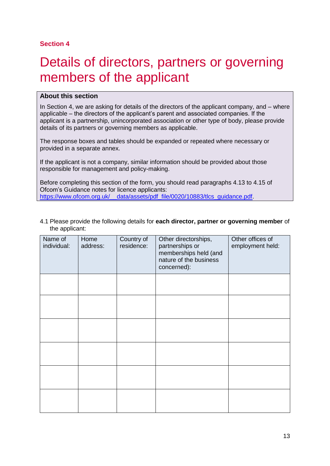# <span id="page-12-0"></span>Details of directors, partners or governing members of the applicant

### **About this section**

In Section 4, we are asking for details of the directors of the applicant company, and – where applicable – the directors of the applicant's parent and associated companies. If the applicant is a partnership, unincorporated association or other type of body, please provide details of its partners or governing members as applicable.

The response boxes and tables should be expanded or repeated where necessary or provided in a separate annex.

If the applicant is not a company, similar information should be provided about those responsible for management and policy-making.

Before completing this section of the form, you should read paragraphs 4.13 to 4.15 of Ofcom's Guidance notes for licence applicants:<br>https://www.ofcom.org.uk/ data/assets/pdf file data/assets/pdf file/0020/10883/tlcs\_quidance.pdf

4.1 Please provide the following details for **each director, partner or governing member** of the applicant:

| Name of<br>individual: | Home<br>address: | Country of<br>residence: | Other directorships,<br>partnerships or<br>memberships held (and<br>nature of the business<br>concerned): | Other offices of<br>employment held: |
|------------------------|------------------|--------------------------|-----------------------------------------------------------------------------------------------------------|--------------------------------------|
|                        |                  |                          |                                                                                                           |                                      |
|                        |                  |                          |                                                                                                           |                                      |
|                        |                  |                          |                                                                                                           |                                      |
|                        |                  |                          |                                                                                                           |                                      |
|                        |                  |                          |                                                                                                           |                                      |
|                        |                  |                          |                                                                                                           |                                      |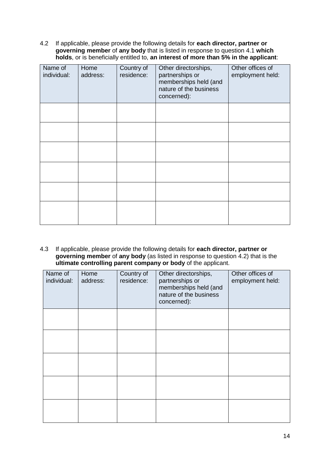4.2 If applicable, please provide the following details for **each director, partner or governing member** of **any body** that is listed in response to question 4.1 **which holds**, or is beneficially entitled to, **an interest of more than 5% in the applicant**:

| Name of<br>individual: | Home<br>address: | Country of<br>residence: | Other directorships,<br>partnerships or<br>memberships held (and<br>nature of the business<br>concerned): | Other offices of<br>employment held: |
|------------------------|------------------|--------------------------|-----------------------------------------------------------------------------------------------------------|--------------------------------------|
|                        |                  |                          |                                                                                                           |                                      |
|                        |                  |                          |                                                                                                           |                                      |
|                        |                  |                          |                                                                                                           |                                      |
|                        |                  |                          |                                                                                                           |                                      |
|                        |                  |                          |                                                                                                           |                                      |
|                        |                  |                          |                                                                                                           |                                      |

4.3 If applicable, please provide the following details for **each director, partner or governing member** of **any body** (as listed in response to question 4.2) that is the **ultimate controlling parent company or body** of the applicant.

| Name of<br>individual: | Home<br>address: | Country of<br>residence: | Other directorships,<br>partnerships or<br>memberships held (and<br>nature of the business<br>concerned): | Other offices of<br>employment held: |
|------------------------|------------------|--------------------------|-----------------------------------------------------------------------------------------------------------|--------------------------------------|
|                        |                  |                          |                                                                                                           |                                      |
|                        |                  |                          |                                                                                                           |                                      |
|                        |                  |                          |                                                                                                           |                                      |
|                        |                  |                          |                                                                                                           |                                      |
|                        |                  |                          |                                                                                                           |                                      |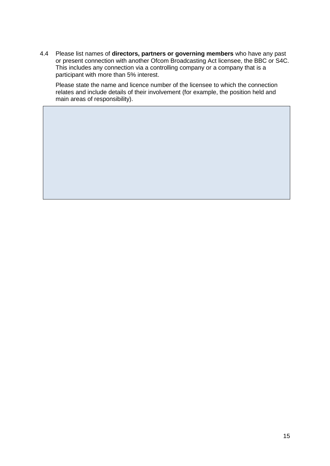4.4 Please list names of **directors, partners or governing members** who have any past or present connection with another Ofcom Broadcasting Act licensee, the BBC or S4C. This includes any connection via a controlling company or a company that is a participant with more than 5% interest.

Please state the name and licence number of the licensee to which the connection relates and include details of their involvement (for example, the position held and main areas of responsibility).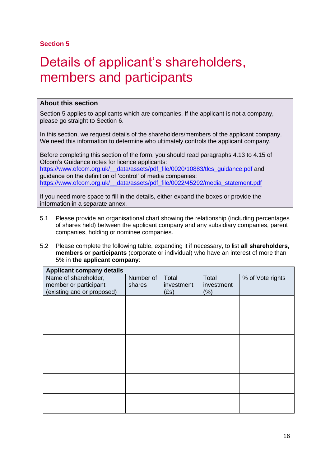# <span id="page-15-0"></span>Details of applicant's shareholders, members and participants

### **About this section**

Section 5 applies to applicants which are companies. If the applicant is not a company, please go straight to Section 6.

In this section, we request details of the shareholders/members of the applicant company. We need this information to determine who ultimately controls the applicant company.

Before completing this section of the form, you should read paragraphs 4.13 to 4.15 of Ofcom's Guidance notes for licence applicants: https://www.ofcom.org.uk/ data/assets/pdf file/0020/10883/tlcs\_guidance.pdf and guidance on the definition of 'control' of media companies: [https://www.ofcom.org.uk/\\_\\_data/assets/pdf\\_file/0022/45292/media\\_statement.pdf](https://www.ofcom.org.uk/__data/assets/pdf_file/0022/45292/media_statement.pdf)

If you need more space to fill in the details, either expand the boxes or provide the information in a separate annex.

- 5.1 Please provide an organisational chart showing the relationship (including percentages of shares held) between the applicant company and any subsidiary companies, parent companies, holding or nominee companies.
- 5.2 Please complete the following table, expanding it if necessary, to list **all shareholders, members or participants** (corporate or individual) who have an interest of more than 5% in **the applicant company**:

| <b>Applicant company details</b> |           |            |            |                  |  |  |
|----------------------------------|-----------|------------|------------|------------------|--|--|
| Name of shareholder,             | Number of | Total      | Total      | % of Vote rights |  |  |
| member or participant            | shares    | investment | investment |                  |  |  |
| (existing and or proposed)       |           | (Es)       | (% )       |                  |  |  |
|                                  |           |            |            |                  |  |  |
|                                  |           |            |            |                  |  |  |
|                                  |           |            |            |                  |  |  |
|                                  |           |            |            |                  |  |  |
|                                  |           |            |            |                  |  |  |
|                                  |           |            |            |                  |  |  |
|                                  |           |            |            |                  |  |  |
|                                  |           |            |            |                  |  |  |
|                                  |           |            |            |                  |  |  |
|                                  |           |            |            |                  |  |  |
|                                  |           |            |            |                  |  |  |
|                                  |           |            |            |                  |  |  |
|                                  |           |            |            |                  |  |  |
|                                  |           |            |            |                  |  |  |
|                                  |           |            |            |                  |  |  |
|                                  |           |            |            |                  |  |  |
|                                  |           |            |            |                  |  |  |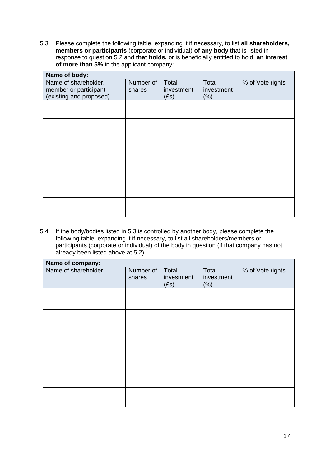5.3 Please complete the following table, expanding it if necessary, to list **all shareholders, members or participants** (corporate or individual) **of any body** that is listed in response to question 5.2 and **that holds,** or is beneficially entitled to hold, **an interest of more than 5%** in the applicant company:

| Name of body:           |           |            |            |                  |  |  |
|-------------------------|-----------|------------|------------|------------------|--|--|
| Name of shareholder,    | Number of | Total      | Total      | % of Vote rights |  |  |
| member or participant   | shares    | investment | investment |                  |  |  |
| (existing and proposed) |           | (Es)       | (% )       |                  |  |  |
|                         |           |            |            |                  |  |  |
|                         |           |            |            |                  |  |  |
|                         |           |            |            |                  |  |  |
|                         |           |            |            |                  |  |  |
|                         |           |            |            |                  |  |  |
|                         |           |            |            |                  |  |  |
|                         |           |            |            |                  |  |  |
|                         |           |            |            |                  |  |  |
|                         |           |            |            |                  |  |  |
|                         |           |            |            |                  |  |  |
|                         |           |            |            |                  |  |  |
|                         |           |            |            |                  |  |  |

5.4 If the body/bodies listed in 5.3 is controlled by another body, please complete the following table, expanding it if necessary, to list all shareholders/members or participants (corporate or individual) of the body in question (if that company has not already been listed above at 5.2).

| Name of company:    |                     |                             |                            |                  |  |  |
|---------------------|---------------------|-----------------------------|----------------------------|------------------|--|--|
| Name of shareholder | Number of<br>shares | Total<br>investment<br>(Es) | Total<br>investment<br>(%) | % of Vote rights |  |  |
|                     |                     |                             |                            |                  |  |  |
|                     |                     |                             |                            |                  |  |  |
|                     |                     |                             |                            |                  |  |  |
|                     |                     |                             |                            |                  |  |  |
|                     |                     |                             |                            |                  |  |  |
|                     |                     |                             |                            |                  |  |  |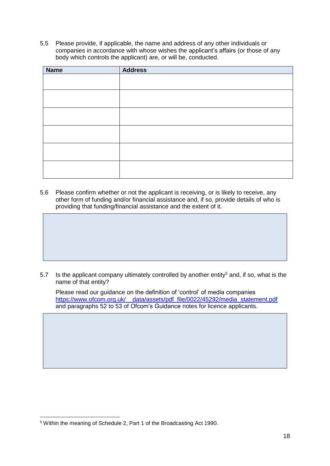5.5 Please provide, if applicable, the name and address of any other individuals or companies in accordance with whose wishes the applicant's affairs (or those of any body which controls the applicant) are, or will be, conducted.

| <b>Name</b> | <b>Address</b> |
|-------------|----------------|
|             |                |
|             |                |
|             |                |
|             |                |
|             |                |
|             |                |
|             |                |
|             |                |
|             |                |
|             |                |
|             |                |
|             |                |

5.6 Please confirm whether or not the applicant is receiving, or is likely to receive, any other form of funding and/or financial assistance and, if so, provide details of who is providing that funding/financial assistance and the extent of it.

5.7 Is the applicant company ultimately controlled by another entity<sup>5</sup> and, if so, what is the name of that entity?

Please read our guidance on the definition of 'control' of media companies https://www.ofcom.org.uk/ data/assets/pdf\_file/0022/45292/media\_statement.pdf and paragraphs 52 to 53 of Ofcom's Guidance notes for licence applicants.

<sup>-</sup><sup>5</sup> Within the meaning of Schedule 2, Part 1 of the Broadcasting Act 1990.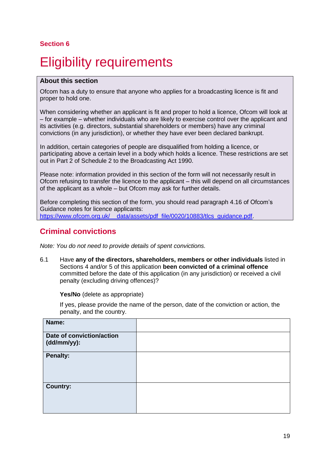# <span id="page-18-0"></span>**Eligibility requirements**

### **About this section**

Ofcom has a duty to ensure that anyone who applies for a broadcasting licence is fit and proper to hold one.

When considering whether an applicant is fit and proper to hold a licence, Ofcom will look at – for example – whether individuals who are likely to exercise control over the applicant and its activities (e.g. directors, substantial shareholders or members) have any criminal convictions (in any jurisdiction), or whether they have ever been declared bankrupt.

In addition, certain categories of people are disqualified from holding a licence, or participating above a certain level in a body which holds a licence. These restrictions are set out in Part 2 of Schedule 2 to the Broadcasting Act 1990.

Please note: information provided in this section of the form will not necessarily result in Ofcom refusing to transfer the licence to the applicant – this will depend on all circumstances of the applicant as a whole – but Ofcom may ask for further details.

Before completing this section of the form, you should read paragraph 4.16 of Ofcom's Guidance notes for licence applicants: https://www.ofcom.org.uk/ data/assets/pdf file/0020/10883/tlcs\_guidance.pdf.

## **Criminal convictions**

*Note: You do not need to provide details of spent convictions.*

6.1 Have **any of the directors, shareholders, members or other individuals** listed in Sections 4 and/or 5 of this application **been convicted of a criminal offence** committed before the date of this application (in any jurisdiction) or received a civil penalty (excluding driving offences)?

**Yes/No** (delete as appropriate)

If yes, please provide the name of the person, date of the conviction or action, the penalty, and the country.

| Name:                                    |  |
|------------------------------------------|--|
| Date of conviction/action<br>(dd/mm/yy): |  |
| <b>Penalty:</b>                          |  |
| <b>Country:</b>                          |  |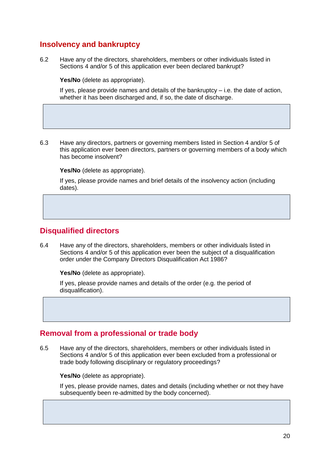## **Insolvency and bankruptcy**

6.2 Have any of the directors, shareholders, members or other individuals listed in Sections 4 and/or 5 of this application ever been declared bankrupt?

**Yes/No** (delete as appropriate).

If yes, please provide names and details of the bankruptcy  $-$  i.e. the date of action, whether it has been discharged and, if so, the date of discharge.

6.3 Have any directors, partners or governing members listed in Section 4 and/or 5 of this application ever been directors, partners or governing members of a body which has become insolvent?

**Yes/No** (delete as appropriate).

If yes, please provide names and brief details of the insolvency action (including dates).

## **Disqualified directors**

6.4 Have any of the directors, shareholders, members or other individuals listed in Sections 4 and/or 5 of this application ever been the subject of a disqualification order under the Company Directors Disqualification Act 1986?

**Yes/No** (delete as appropriate).

If yes, please provide names and details of the order (e.g. the period of disqualification).

## **Removal from a professional or trade body**

6.5 Have any of the directors, shareholders, members or other individuals listed in Sections 4 and/or 5 of this application ever been excluded from a professional or trade body following disciplinary or regulatory proceedings?

**Yes/No** (delete as appropriate).

If yes, please provide names, dates and details (including whether or not they have subsequently been re-admitted by the body concerned).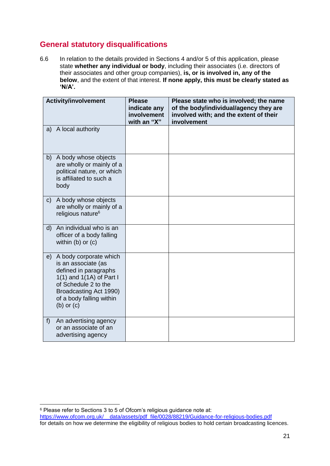## **General statutory disqualifications**

6.6 In relation to the details provided in Sections 4 and/or 5 of this application, please state **whether any individual or body**, including their associates (i.e. directors of their associates and other group companies), **is, or is involved in, any of the below**, and the extent of that interest. **If none apply, this must be clearly stated as 'N/A'.**

|              | <b>Activity/involvement</b>                                                                                                                                                                          | <b>Please</b><br>indicate any<br>involvement<br>with an "X" | Please state who is involved; the name<br>of the body/individual/agency they are<br>involved with; and the extent of their<br>involvement |
|--------------|------------------------------------------------------------------------------------------------------------------------------------------------------------------------------------------------------|-------------------------------------------------------------|-------------------------------------------------------------------------------------------------------------------------------------------|
| a)           | A local authority                                                                                                                                                                                    |                                                             |                                                                                                                                           |
| b)           | A body whose objects<br>are wholly or mainly of a<br>political nature, or which<br>is affiliated to such a<br>body                                                                                   |                                                             |                                                                                                                                           |
| $\mathsf{C}$ | A body whose objects<br>are wholly or mainly of a<br>religious nature <sup>6</sup>                                                                                                                   |                                                             |                                                                                                                                           |
| d)           | An individual who is an<br>officer of a body falling<br>within $(b)$ or $(c)$                                                                                                                        |                                                             |                                                                                                                                           |
| e)           | A body corporate which<br>is an associate (as<br>defined in paragraphs<br>1(1) and $1(1A)$ of Part I<br>of Schedule 2 to the<br>Broadcasting Act 1990)<br>of a body falling within<br>$(b)$ or $(c)$ |                                                             |                                                                                                                                           |
| f)           | An advertising agency<br>or an associate of an<br>advertising agency                                                                                                                                 |                                                             |                                                                                                                                           |

-

<sup>&</sup>lt;sup>6</sup> Please refer to Sections 3 to 5 of Ofcom's religious guidance note at:

[https://www.ofcom.org.uk/\\_\\_data/assets/pdf\\_file/0028/88219/Guidance-for-religious-bodies.pdf](https://www.ofcom.org.uk/__data/assets/pdf_file/0028/88219/Guidance-for-religious-bodies.pdf) for details on how we determine the eligibility of religious bodies to hold certain broadcasting licences.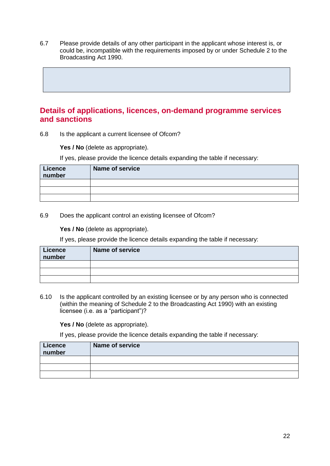6.7 Please provide details of any other participant in the applicant whose interest is, or could be, incompatible with the requirements imposed by or under Schedule 2 to the Broadcasting Act 1990.

## **Details of applications, licences, on-demand programme services and sanctions**

6.8 Is the applicant a current licensee of Ofcom?

Yes / No (delete as appropriate).

If yes, please provide the licence details expanding the table if necessary:

| <b>Licence</b><br>number | Name of service |
|--------------------------|-----------------|
|                          |                 |
|                          |                 |
|                          |                 |

6.9 Does the applicant control an existing licensee of Ofcom?

Yes / No (delete as appropriate).

If yes, please provide the licence details expanding the table if necessary:

| <b>Licence</b><br>number | <b>Name of service</b> |
|--------------------------|------------------------|
|                          |                        |
|                          |                        |
|                          |                        |

6.10 Is the applicant controlled by an existing licensee or by any person who is connected (within the meaning of Schedule 2 to the Broadcasting Act 1990) with an existing licensee (i.e. as a "participant")?

Yes / No (delete as appropriate).

If yes, please provide the licence details expanding the table if necessary:

| <b>Licence</b><br>number | <b>Name of service</b> |
|--------------------------|------------------------|
|                          |                        |
|                          |                        |
|                          |                        |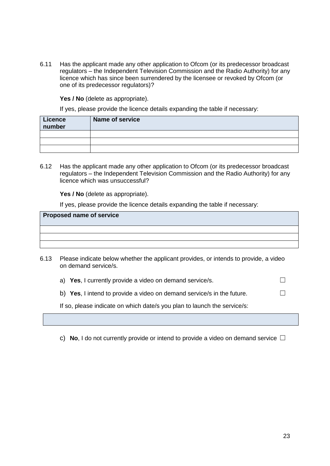6.11 Has the applicant made any other application to Ofcom (or its predecessor broadcast regulators – the Independent Television Commission and the Radio Authority) for any licence which has since been surrendered by the licensee or revoked by Ofcom (or one of its predecessor regulators)?

**Yes / No** (delete as appropriate).

If yes, please provide the licence details expanding the table if necessary:

| <b>Licence</b><br>number | Name of service |
|--------------------------|-----------------|
|                          |                 |
|                          |                 |
|                          |                 |

6.12 Has the applicant made any other application to Ofcom (or its predecessor broadcast regulators – the Independent Television Commission and the Radio Authority) for any licence which was unsuccessful?

**Yes / No** (delete as appropriate).

If yes, please provide the licence details expanding the table if necessary:

### **Proposed name of service**

6.13 Please indicate below whether the applicant provides, or intends to provide, a video on demand service/s.

a) **Yes**, I currently provide a video on demand service/s.  $\Box$ 

b) **Yes**, I intend to provide a video on demand service/s in the future.  $\Box$ 

If so, please indicate on which date/s you plan to launch the service/s:

c) **No**, I do not currently provide or intend to provide a video on demand service  $\Box$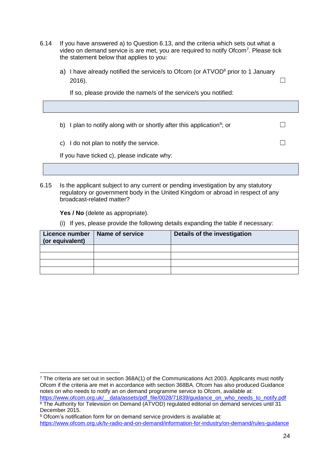- 6.14 If you have answered a) to Question 6.13, and the criteria which sets out what a video on demand service is are met, you are required to notify Ofcom<sup>7</sup>. Please tick the statement below that applies to you:
	- a) I have already notified the service/s to Ofcom (or ATVOD<sup>8</sup> prior to 1 January 2016).  $\Box$

If so, please provide the name/s of the service/s you notified:

b) I plan to notify along with or shortly after this application<sup>9</sup>; or  $\Box$ 

c) I do not plan to notify the service.  $□$ 

If you have ticked c), please indicate why:

6.15 Is the applicant subject to any current or pending investigation by any statutory regulatory or government body in the United Kingdom or abroad in respect of any broadcast-related matter?

Yes / No (delete as appropriate).

(i) If yes, please provide the following details expanding the table if necessary:

| Licence number   Name of service<br>(or equivalent) | Details of the investigation |
|-----------------------------------------------------|------------------------------|
|                                                     |                              |
|                                                     |                              |
|                                                     |                              |
|                                                     |                              |

<sup>-</sup><sup>7</sup> The criteria are set out in section 368A(1) of the Communications Act 2003. Applicants must notify Ofcom if the criteria are met in accordance with section 368BA. Ofcom has also produced Guidance notes on who needs to notify an on demand programme service to Ofcom, available at:

https://www.ofcom.org.uk/ data/assets/pdf\_file/0028/71839/guidance\_on\_who\_needs\_to\_notify.pdf <sup>8</sup> The Authority for Television on Demand (ATVOD) regulated editorial on demand services until 31 December 2015.

<sup>&</sup>lt;sup>9</sup> Ofcom's notification form for on demand service providers is available at: <https://www.ofcom.org.uk/tv-radio-and-on-demand/information-for-industry/on-demand/rules-guidance>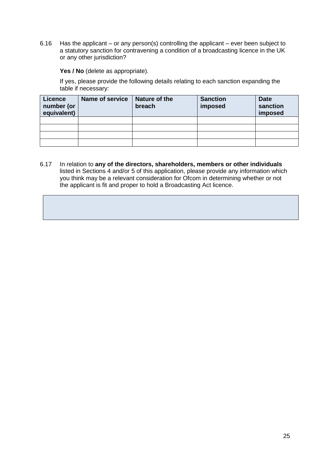6.16 Has the applicant – or any person(s) controlling the applicant – ever been subject to a statutory sanction for contravening a condition of a broadcasting licence in the UK or any other jurisdiction?

Yes / No (delete as appropriate).

If yes, please provide the following details relating to each sanction expanding the table if necessary:

| <b>Licence</b><br>number (or<br>equivalent) | <b>Name of service</b> | Nature of the<br>breach | <b>Sanction</b><br>imposed | <b>Date</b><br>sanction<br>imposed |
|---------------------------------------------|------------------------|-------------------------|----------------------------|------------------------------------|
|                                             |                        |                         |                            |                                    |
|                                             |                        |                         |                            |                                    |
|                                             |                        |                         |                            |                                    |
|                                             |                        |                         |                            |                                    |

6.17 In relation to **any of the directors, shareholders, members or other individuals** listed in Sections 4 and/or 5 of this application, please provide any information which you think may be a relevant consideration for Ofcom in determining whether or not the applicant is fit and proper to hold a Broadcasting Act licence.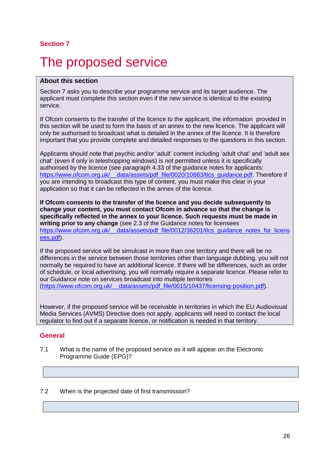# <span id="page-25-0"></span>The proposed service

### **About this section**

Section 7 asks you to describe your programme service and its target audience. The applicant must complete this section even if the new service is identical to the existing service.

If Ofcom consents to the transfer of the licence to the applicant, the information provided in this section will be used to form the basis of an annex to the new licence. The applicant will only be authorised to broadcast what is detailed in the annex of the licence. It is therefore important that you provide complete and detailed responses to the questions in this section.

Applicants should note that psychic and/or 'adult' content including 'adult chat' and 'adult sex chat' (even if only in teleshopping windows) is not permitted unless it is specifically authorised by the licence (see paragraph 4.33 of the guidance notes for applicants: https://www.ofcom.org.uk/ data/assets/pdf file/0020/10883/tlcs\_guidance.pdf. Therefore if you are intending to broadcast this type of content, you must make this clear in your application so that it can be reflected in the annex of the licence.

**If Ofcom consents to the transfer of the licence and you decide subsequently to change your content, you must contact Ofcom in advance so that the change is specifically reflected in the annex to your licence. Such requests must be made in writing prior to any change** (see 2.3 of the Guidance notes for licensees https://www.ofcom.org.uk/\_\_data/assets/pdf\_file/0012/36201/tlcs\_quidance\_notes\_for\_licens [ees.pdf\)](https://www.ofcom.org.uk/__data/assets/pdf_file/0012/36201/tlcs_guidance_notes_for_licensees.pdf).

If the proposed service will be simulcast in more than one territory and there will be no differences in the service between those territories other than language dubbing, you will not normally be required to have an additional licence. If there will be differences, such as order of schedule, or local advertising, you will normally require a separate licence. Please refer to our Guidance note on services broadcast into multiple territories [\(https://www.ofcom.org.uk/\\_\\_data/assets/pdf\\_file/0015/10437/licensing-position.pdf\)](https://www.ofcom.org.uk/__data/assets/pdf_file/0015/10437/licensing-position.pdf).

However, if the proposed service will be receivable in territories in which the EU Audiovisual Media Services (AVMS) Directive does not apply, applicants will need to contact the local regulator to find out if a separate licence, or notification is needed in that territory.

### **General**

7.1 What is the name of the proposed service as it will appear on the Electronic Programme Guide (EPG)?

#### 7.2 When is the projected date of first transmission?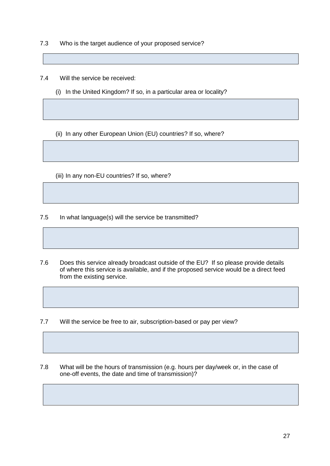7.3 Who is the target audience of your proposed service?

7.4 Will the service be received:

(i) In the United Kingdom? If so, in a particular area or locality?

(ii) In any other European Union (EU) countries? If so, where?

(iii) In any non-EU countries? If so, where?

7.5 In what language(s) will the service be transmitted?

- 7.6 Does this service already broadcast outside of the EU? If so please provide details of where this service is available, and if the proposed service would be a direct feed from the existing service.
- 7.7 Will the service be free to air, subscription-based or pay per view?
- 7.8 What will be the hours of transmission (e.g. hours per day/week or, in the case of one-off events, the date and time of transmission)?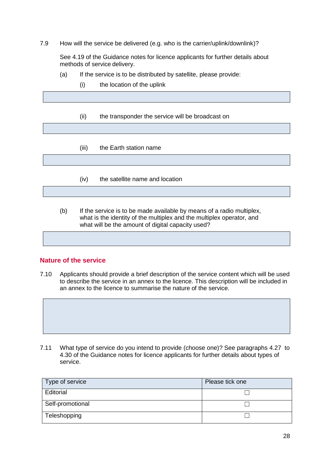7.9 How will the service be delivered (e.g. who is the carrier/uplink/downlink)?

See 4.19 of the Guidance notes for licence applicants for further details about methods of service delivery.

- (a) If the service is to be distributed by satellite, please provide:
	- (i) the location of the uplink

| (ii)  | the transponder the service will be broadcast on |
|-------|--------------------------------------------------|
|       |                                                  |
|       |                                                  |
| (iii) | the Earth station name                           |
|       |                                                  |
|       |                                                  |
| (iv)  | the satellite name and location                  |
|       |                                                  |

(b) If the service is to be made available by means of a radio multiplex, what is the identity of the multiplex and the multiplex operator, and what will be the amount of digital capacity used?

### **Nature of the service**

7.10 Applicants should provide a brief description of the service content which will be used to describe the service in an annex to the licence. This description will be included in an annex to the licence to summarise the nature of the service.



7.11 What type of service do you intend to provide (choose one)? See paragraphs 4.27 to 4.30 of the Guidance notes for licence applicants for further details about types of service.

| Type of service  | Please tick one |
|------------------|-----------------|
| Editorial        |                 |
| Self-promotional |                 |
| Teleshopping     |                 |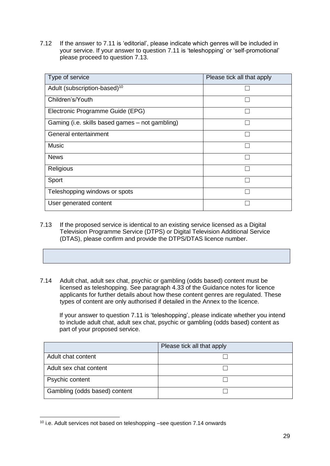7.12 If the answer to 7.11 is 'editorial', please indicate which genres will be included in your service. If your answer to question 7.11 is 'teleshopping' or 'self-promotional' please proceed to question 7.13.

| Type of service                                 | Please tick all that apply |
|-------------------------------------------------|----------------------------|
| Adult (subscription-based) <sup>10</sup>        |                            |
| Children's/Youth                                |                            |
| Electronic Programme Guide (EPG)                |                            |
| Gaming (i.e. skills based games – not gambling) |                            |
| General entertainment                           |                            |
| Music                                           |                            |
| <b>News</b>                                     |                            |
| Religious                                       |                            |
| Sport                                           |                            |
| Teleshopping windows or spots                   |                            |
| User generated content                          |                            |

- 7.13 If the proposed service is identical to an existing service licensed as a Digital Television Programme Service (DTPS) or Digital Television Additional Service (DTAS), please confirm and provide the DTPS/DTAS licence number.
- 7.14 Adult chat, adult sex chat, psychic or gambling (odds based) content must be licensed as teleshopping. See paragraph 4.33 of the Guidance notes for licence applicants for further details about how these content genres are regulated. These types of content are only authorised if detailed in the Annex to the licence.

If your answer to question 7.11 is 'teleshopping', please indicate whether you intend to include adult chat, adult sex chat, psychic or gambling (odds based) content as part of your proposed service.

|                               | Please tick all that apply |
|-------------------------------|----------------------------|
| Adult chat content            |                            |
| Adult sex chat content        |                            |
| Psychic content               |                            |
| Gambling (odds based) content |                            |

<sup>10</sup> i.e. Adult services not based on teleshopping –see question 7.14 onwards

-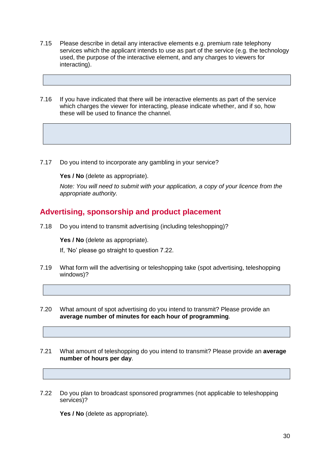- 7.15 Please describe in detail any interactive elements e.g. premium rate telephony services which the applicant intends to use as part of the service (e.g. the technology used, the purpose of the interactive element, and any charges to viewers for interacting).
- 7.16 If you have indicated that there will be interactive elements as part of the service which charges the viewer for interacting, please indicate whether, and if so, how these will be used to finance the channel.
- 7.17 Do you intend to incorporate any gambling in your service?

Yes / No (delete as appropriate).

*Note: You will need to submit with your application, a copy of your licence from the appropriate authority.*

## **Advertising, sponsorship and product placement**

7.18 Do you intend to transmit advertising (including teleshopping)?

**Yes / No** (delete as appropriate).

If, 'No' please go straight to question 7.22.

- 7.19 What form will the advertising or teleshopping take (spot advertising, teleshopping windows)?
- 7.20 What amount of spot advertising do you intend to transmit? Please provide an **average number of minutes for each hour of programming**.
- 7.21 What amount of teleshopping do you intend to transmit? Please provide an **average number of hours per day**.
- 7.22 Do you plan to broadcast sponsored programmes (not applicable to teleshopping services)?

**Yes / No** (delete as appropriate).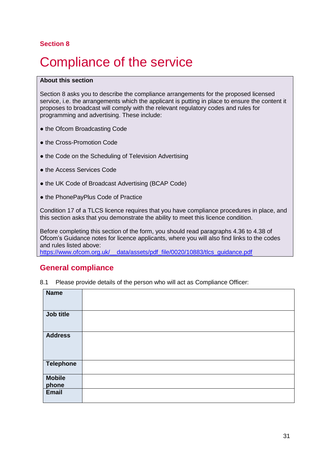# <span id="page-30-0"></span>**Compliance of the service**

#### **About this section**

Section 8 asks you to describe the compliance arrangements for the proposed licensed service, i.e. the arrangements which the applicant is putting in place to ensure the content it proposes to broadcast will comply with the relevant regulatory codes and rules for programming and advertising. These include:

- the Ofcom Broadcasting Code
- the Cross-Promotion Code
- the Code on the Scheduling of Television Advertising
- the Access Services Code
- the UK Code of Broadcast Advertising (BCAP Code)
- the PhonePayPlus Code of Practice

Condition 17 of a TLCS licence requires that you have compliance procedures in place, and this section asks that you demonstrate the ability to meet this licence condition.

Before completing this section of the form, you should read paragraphs 4.36 to 4.38 of Ofcom's Guidance notes for licence applicants, where you will also find links to the codes and rules listed above:

https://www.ofcom.org.uk/ data/assets/pdf\_file/0020/10883/tlcs\_guidance.pdf

## **General compliance**

8.1 Please provide details of the person who will act as Compliance Officer:

| <b>Name</b>      |  |
|------------------|--|
| Job title        |  |
| <b>Address</b>   |  |
| <b>Telephone</b> |  |
| <b>Mobile</b>    |  |
| phone            |  |
|                  |  |
| <b>Email</b>     |  |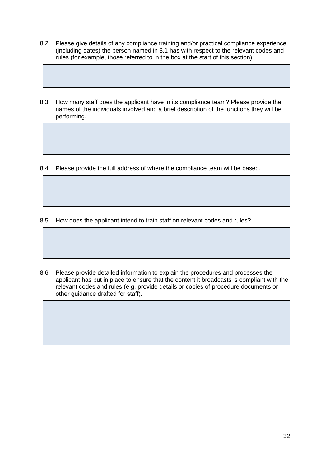- 8.2 Please give details of any compliance training and/or practical compliance experience (including dates) the person named in 8.1 has with respect to the relevant codes and rules (for example, those referred to in the box at the start of this section).
- 8.3 How many staff does the applicant have in its compliance team? Please provide the names of the individuals involved and a brief description of the functions they will be performing.

8.4 Please provide the full address of where the compliance team will be based.

- 8.5 How does the applicant intend to train staff on relevant codes and rules?
- 8.6 Please provide detailed information to explain the procedures and processes the applicant has put in place to ensure that the content it broadcasts is compliant with the relevant codes and rules (e.g. provide details or copies of procedure documents or other guidance drafted for staff).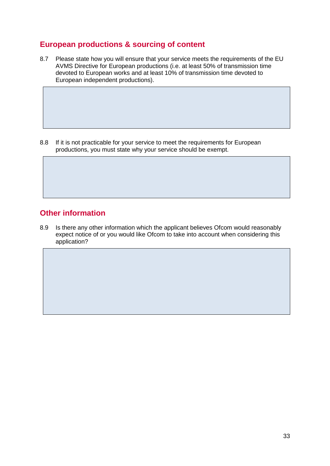## **European productions & sourcing of content**

8.7 Please state how you will ensure that your service meets the requirements of the EU AVMS Directive for European productions (i.e. at least 50% of transmission time devoted to European works and at least 10% of transmission time devoted to European independent productions).

8.8 If it is not practicable for your service to meet the requirements for European productions, you must state why your service should be exempt.

## **Other information**

8.9 Is there any other information which the applicant believes Ofcom would reasonably expect notice of or you would like Ofcom to take into account when considering this application?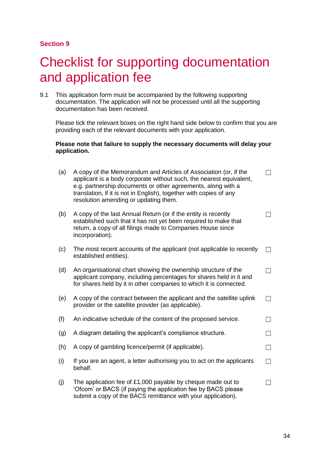## <span id="page-33-0"></span>**Checklist for supporting documentation** and application fee

9.1 This application form must be accompanied by the following supporting documentation. The application will not be processed until all the supporting documentation has been received.

Please tick the relevant boxes on the right hand side below to confirm that you are providing each of the relevant documents with your application.

#### **Please note that failure to supply the necessary documents will delay your application.**

| (a) | A copy of the Memorandum and Articles of Association (or, if the<br>applicant is a body corporate without such, the nearest equivalent,<br>e.g. partnership documents or other agreements, along with a<br>translation, if it is not in English), together with copies of any<br>resolution amending or updating them. |  |
|-----|------------------------------------------------------------------------------------------------------------------------------------------------------------------------------------------------------------------------------------------------------------------------------------------------------------------------|--|
| (b) | A copy of the last Annual Return (or if the entity is recently<br>established such that it has not yet been required to make that<br>return, a copy of all filings made to Companies House since<br>incorporation).                                                                                                    |  |
| (c) | The most recent accounts of the applicant (not applicable to recently<br>established entities).                                                                                                                                                                                                                        |  |
| (d) | An organisational chart showing the ownership structure of the<br>applicant company, including percentages for shares held in it and<br>for shares held by it in other companies to which it is connected.                                                                                                             |  |
| (e) | A copy of the contract between the applicant and the satellite uplink<br>provider or the satellite provider (as applicable).                                                                                                                                                                                           |  |
| (f) | An indicative schedule of the content of the proposed service.                                                                                                                                                                                                                                                         |  |
| (g) | A diagram detailing the applicant's compliance structure.                                                                                                                                                                                                                                                              |  |
| (h) | A copy of gambling licence/permit (if applicable).                                                                                                                                                                                                                                                                     |  |
| (i) | If you are an agent, a letter authorising you to act on the applicants<br>behalf.                                                                                                                                                                                                                                      |  |
| (j) | The application fee of $£1,000$ payable by cheque made out to<br>'Ofcom' or BACS (if paying the application fee by BACS please                                                                                                                                                                                         |  |

submit a copy of the BACS remittance with your application).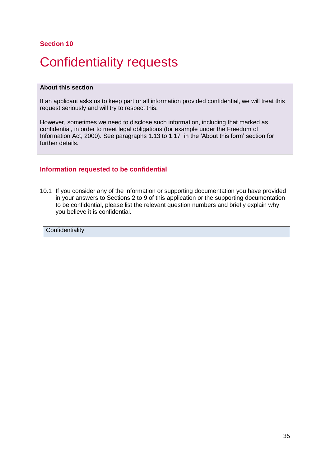# <span id="page-34-0"></span>Confidentiality requests

#### **About this section**

If an applicant asks us to keep part or all information provided confidential, we will treat this request seriously and will try to respect this.

However, sometimes we need to disclose such information, including that marked as confidential, in order to meet legal obligations (for example under the Freedom of Information Act, 2000). See paragraphs 1.13 to 1.17 in the 'About this form' section for further details.

### **Information requested to be confidential**

10.1 If you consider any of the information or supporting documentation you have provided in your answers to Sections 2 to 9 of this application or the supporting documentation to be confidential, please list the relevant question numbers and briefly explain why you believe it is confidential.

| Confidentiality |
|-----------------|
|                 |
|                 |
|                 |
|                 |
|                 |
|                 |
|                 |
|                 |
|                 |
|                 |
|                 |
|                 |
|                 |
|                 |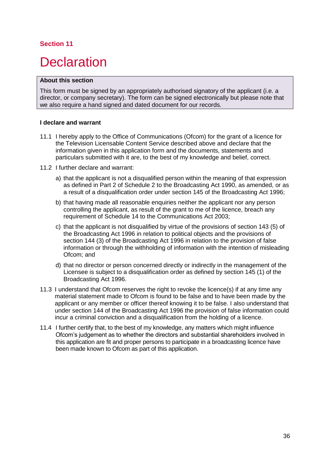# <span id="page-35-0"></span>**Declaration**

#### **About this section**

This form must be signed by an appropriately authorised signatory of the applicant (i.e. a director, or company secretary). The form can be signed electronically but please note that we also require a hand signed and dated document for our records.

#### **I declare and warrant**

- 11.1 I hereby apply to the Office of Communications (Ofcom) for the grant of a licence for the Television Licensable Content Service described above and declare that the information given in this application form and the documents, statements and particulars submitted with it are, to the best of my knowledge and belief, correct.
- 11.2 I further declare and warrant:
	- a) that the applicant is not a disqualified person within the meaning of that expression as defined in Part 2 of Schedule 2 to the Broadcasting Act 1990, as amended, or as a result of a disqualification order under section 145 of the Broadcasting Act 1996;
	- b) that having made all reasonable enquiries neither the applicant nor any person controlling the applicant, as result of the grant to me of the licence, breach any requirement of Schedule 14 to the Communications Act 2003;
	- c) that the applicant is not disqualified by virtue of the provisions of section 143 (5) of the Broadcasting Act 1996 in relation to political objects and the provisions of section 144 (3) of the Broadcasting Act 1996 in relation to the provision of false information or through the withholding of information with the intention of misleading Ofcom; and
	- d) that no director or person concerned directly or indirectly in the management of the Licensee is subject to a disqualification order as defined by section 145 (1) of the Broadcasting Act 1996.
- 11.3 I understand that Ofcom reserves the right to revoke the licence(s) if at any time any material statement made to Ofcom is found to be false and to have been made by the applicant or any member or officer thereof knowing it to be false. I also understand that under section 144 of the Broadcasting Act 1996 the provision of false information could incur a criminal conviction and a disqualification from the holding of a licence.
- 11.4 I further certify that, to the best of my knowledge, any matters which might influence Ofcom's judgement as to whether the directors and substantial shareholders involved in this application are fit and proper persons to participate in a broadcasting licence have been made known to Ofcom as part of this application.